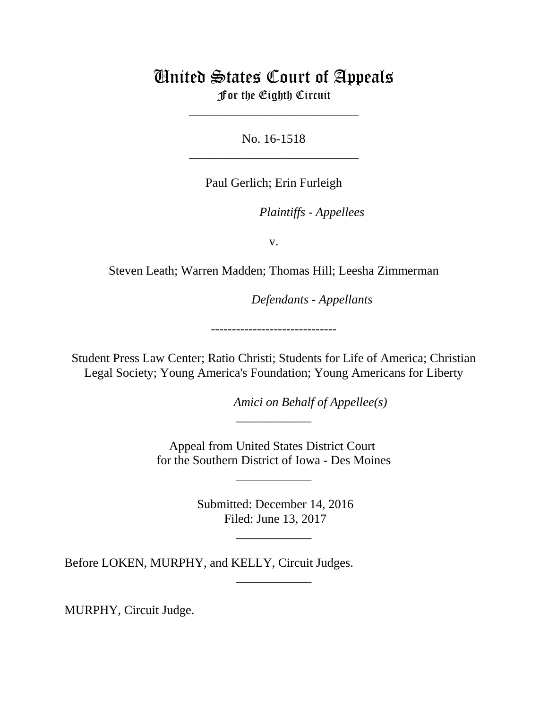# United States Court of Appeals For the Eighth Circuit

\_\_\_\_\_\_\_\_\_\_\_\_\_\_\_\_\_\_\_\_\_\_\_\_\_\_\_

No. 16-1518 \_\_\_\_\_\_\_\_\_\_\_\_\_\_\_\_\_\_\_\_\_\_\_\_\_\_\_

Paul Gerlich; Erin Furleigh

*Plaintiffs - Appellees* 

v.

Steven Leath; Warren Madden; Thomas Hill; Leesha Zimmerman

lllllllllllllllllllll *Defendants - Appellants*

------------------------------

Student Press Law Center; Ratio Christi; Students for Life of America; Christian Legal Society; Young America's Foundation; Young Americans for Liberty

*Amici on Behalf of Appellee(s)* 

Appeal from United States District Court for the Southern District of Iowa - Des Moines

\_\_\_\_\_\_\_\_\_\_\_\_

\_\_\_\_\_\_\_\_\_\_\_\_

 Submitted: December 14, 2016 Filed: June 13, 2017

\_\_\_\_\_\_\_\_\_\_\_\_

\_\_\_\_\_\_\_\_\_\_\_\_

Before LOKEN, MURPHY, and KELLY, Circuit Judges.

MURPHY, Circuit Judge.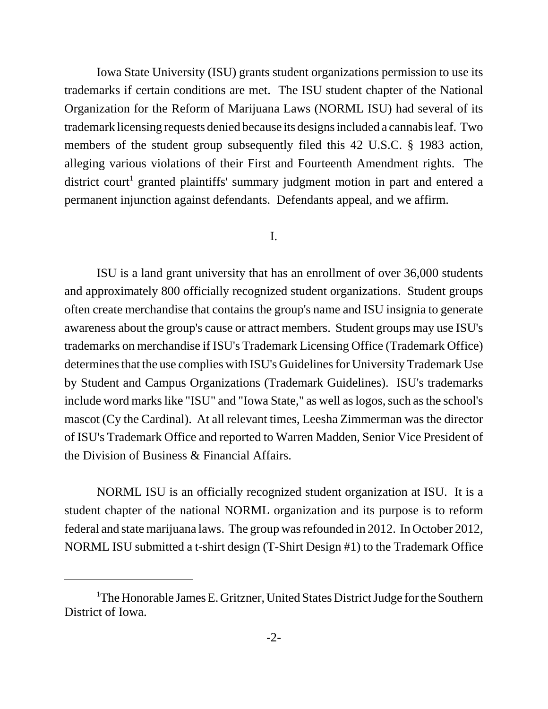Iowa State University (ISU) grants student organizations permission to use its trademarks if certain conditions are met. The ISU student chapter of the National Organization for the Reform of Marijuana Laws (NORML ISU) had several of its trademark licensing requests denied because its designs included a cannabis leaf. Two members of the student group subsequently filed this 42 U.S.C. § 1983 action, alleging various violations of their First and Fourteenth Amendment rights. The district court<sup>1</sup> granted plaintiffs' summary judgment motion in part and entered a permanent injunction against defendants. Defendants appeal, and we affirm.

### I.

ISU is a land grant university that has an enrollment of over 36,000 students and approximately 800 officially recognized student organizations. Student groups often create merchandise that contains the group's name and ISU insignia to generate awareness about the group's cause or attract members. Student groups may use ISU's trademarks on merchandise if ISU's Trademark Licensing Office (Trademark Office) determines that the use complies with ISU's Guidelines for University Trademark Use by Student and Campus Organizations (Trademark Guidelines). ISU's trademarks include word marks like "ISU" and "Iowa State," as well as logos, such as the school's mascot (Cy the Cardinal). At all relevant times, Leesha Zimmerman was the director of ISU's Trademark Office and reported to Warren Madden, Senior Vice President of the Division of Business & Financial Affairs.

NORML ISU is an officially recognized student organization at ISU. It is a student chapter of the national NORML organization and its purpose is to reform federal and state marijuana laws. The group was refounded in 2012. In October 2012, NORML ISU submitted a t-shirt design (T-Shirt Design #1) to the Trademark Office

<sup>&</sup>lt;sup>1</sup>The Honorable James E. Gritzner, United States District Judge for the Southern District of Iowa.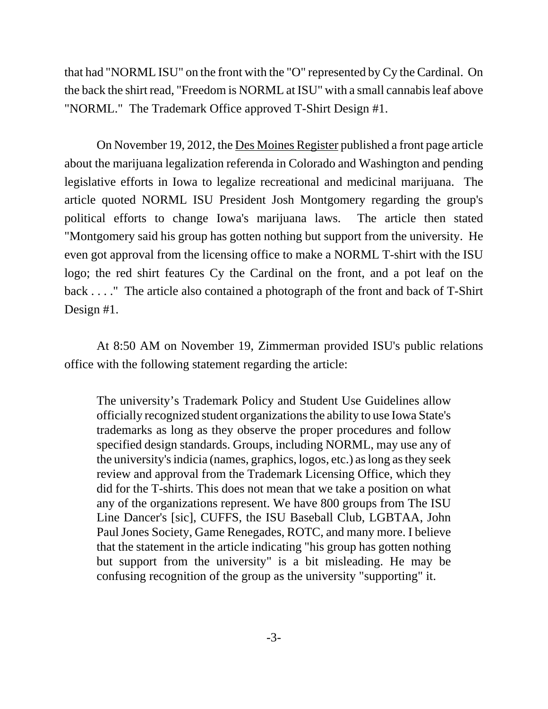that had "NORML ISU" on the front with the "O" represented by Cy the Cardinal. On the back the shirt read, "Freedom is NORML at ISU" with a small cannabis leaf above "NORML." The Trademark Office approved T-Shirt Design #1.

On November 19, 2012, the Des Moines Register published a front page article about the marijuana legalization referenda in Colorado and Washington and pending legislative efforts in Iowa to legalize recreational and medicinal marijuana. The article quoted NORML ISU President Josh Montgomery regarding the group's political efforts to change Iowa's marijuana laws. The article then stated "Montgomery said his group has gotten nothing but support from the university. He even got approval from the licensing office to make a NORML T-shirt with the ISU logo; the red shirt features Cy the Cardinal on the front, and a pot leaf on the back . . . ." The article also contained a photograph of the front and back of T-Shirt Design #1.

At 8:50 AM on November 19, Zimmerman provided ISU's public relations office with the following statement regarding the article:

The university's Trademark Policy and Student Use Guidelines allow officially recognized student organizations the ability to use Iowa State's trademarks as long as they observe the proper procedures and follow specified design standards. Groups, including NORML, may use any of the university's indicia (names, graphics, logos, etc.) as long as they seek review and approval from the Trademark Licensing Office, which they did for the T-shirts. This does not mean that we take a position on what any of the organizations represent. We have 800 groups from The ISU Line Dancer's [sic], CUFFS, the ISU Baseball Club, LGBTAA, John Paul Jones Society, Game Renegades, ROTC, and many more. I believe that the statement in the article indicating "his group has gotten nothing but support from the university" is a bit misleading. He may be confusing recognition of the group as the university "supporting" it.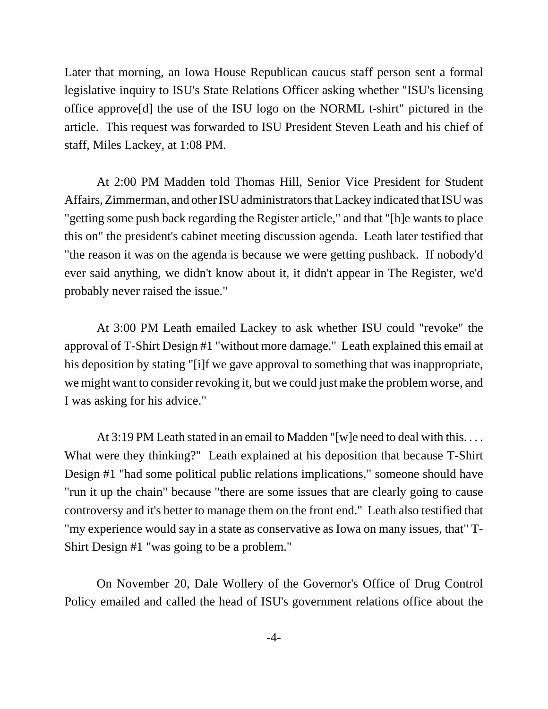Later that morning, an Iowa House Republican caucus staff person sent a formal legislative inquiry to ISU's State Relations Officer asking whether "ISU's licensing office approve[d] the use of the ISU logo on the NORML t-shirt" pictured in the article. This request was forwarded to ISU President Steven Leath and his chief of staff, Miles Lackey, at 1:08 PM.

At 2:00 PM Madden told Thomas Hill, Senior Vice President for Student Affairs, Zimmerman, and other ISU administrators that Lackey indicated that ISU was "getting some push back regarding the Register article," and that "[h]e wants to place this on" the president's cabinet meeting discussion agenda. Leath later testified that "the reason it was on the agenda is because we were getting pushback. If nobody'd ever said anything, we didn't know about it, it didn't appear in The Register, we'd probably never raised the issue."

At 3:00 PM Leath emailed Lackey to ask whether ISU could "revoke" the approval of T-Shirt Design #1 "without more damage." Leath explained this email at his deposition by stating "[i]f we gave approval to something that was inappropriate, we might want to consider revoking it, but we could just make the problem worse, and I was asking for his advice."

At 3:19 PM Leath stated in an email to Madden "[w]e need to deal with this. . . . What were they thinking?" Leath explained at his deposition that because T-Shirt Design #1 "had some political public relations implications," someone should have "run it up the chain" because "there are some issues that are clearly going to cause controversy and it's better to manage them on the front end." Leath also testified that "my experience would say in a state as conservative as Iowa on many issues, that" T-Shirt Design #1 "was going to be a problem."

On November 20, Dale Wollery of the Governor's Office of Drug Control Policy emailed and called the head of ISU's government relations office about the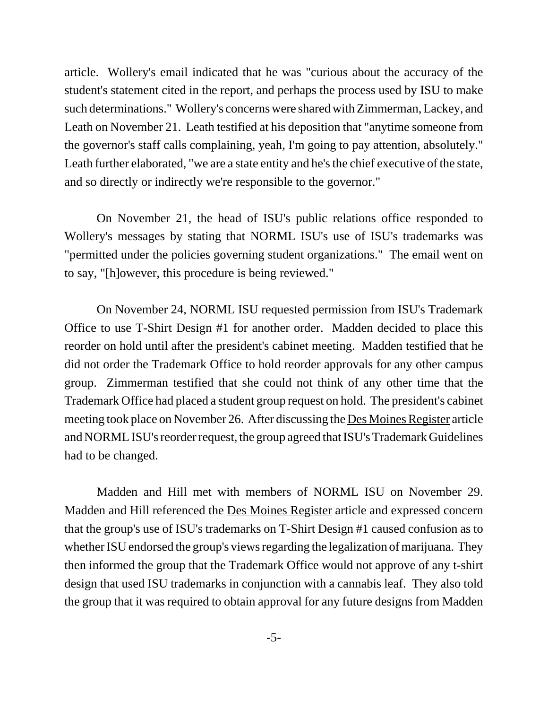article. Wollery's email indicated that he was "curious about the accuracy of the student's statement cited in the report, and perhaps the process used by ISU to make such determinations." Wollery's concerns were shared with Zimmerman, Lackey, and Leath on November 21. Leath testified at his deposition that "anytime someone from the governor's staff calls complaining, yeah, I'm going to pay attention, absolutely." Leath further elaborated, "we are a state entity and he's the chief executive of the state, and so directly or indirectly we're responsible to the governor."

On November 21, the head of ISU's public relations office responded to Wollery's messages by stating that NORML ISU's use of ISU's trademarks was "permitted under the policies governing student organizations." The email went on to say, "[h]owever, this procedure is being reviewed."

On November 24, NORML ISU requested permission from ISU's Trademark Office to use T-Shirt Design #1 for another order. Madden decided to place this reorder on hold until after the president's cabinet meeting. Madden testified that he did not order the Trademark Office to hold reorder approvals for any other campus group. Zimmerman testified that she could not think of any other time that the Trademark Office had placed a student group request on hold. The president's cabinet meeting took place on November 26. After discussing the Des Moines Register article and NORML ISU's reorder request, the group agreed that ISU's Trademark Guidelines had to be changed.

Madden and Hill met with members of NORML ISU on November 29. Madden and Hill referenced the Des Moines Register article and expressed concern that the group's use of ISU's trademarks on T-Shirt Design #1 caused confusion as to whether ISU endorsed the group's views regarding the legalization of marijuana. They then informed the group that the Trademark Office would not approve of any t-shirt design that used ISU trademarks in conjunction with a cannabis leaf. They also told the group that it was required to obtain approval for any future designs from Madden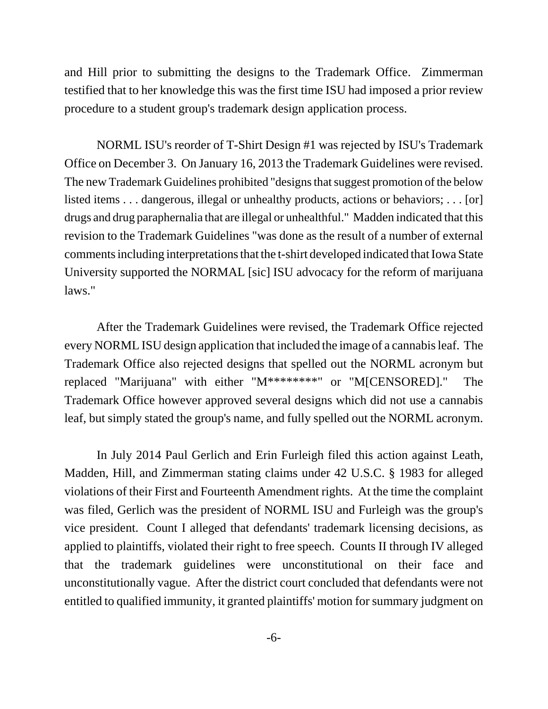and Hill prior to submitting the designs to the Trademark Office. Zimmerman testified that to her knowledge this was the first time ISU had imposed a prior review procedure to a student group's trademark design application process.

NORML ISU's reorder of T-Shirt Design #1 was rejected by ISU's Trademark Office on December 3. On January 16, 2013 the Trademark Guidelines were revised. The new Trademark Guidelines prohibited "designs that suggest promotion of the below listed items . . . dangerous, illegal or unhealthy products, actions or behaviors; . . . [or] drugs and drug paraphernalia that are illegal or unhealthful." Madden indicated that this revision to the Trademark Guidelines "was done as the result of a number of external comments including interpretations that the t-shirt developed indicated that Iowa State University supported the NORMAL [sic] ISU advocacy for the reform of marijuana laws."

After the Trademark Guidelines were revised, the Trademark Office rejected every NORML ISU design application that included the image of a cannabis leaf. The Trademark Office also rejected designs that spelled out the NORML acronym but replaced "Marijuana" with either "M\*\*\*\*\*\*\*\*" or "M[CENSORED]." The Trademark Office however approved several designs which did not use a cannabis leaf, but simply stated the group's name, and fully spelled out the NORML acronym.

In July 2014 Paul Gerlich and Erin Furleigh filed this action against Leath, Madden, Hill, and Zimmerman stating claims under 42 U.S.C. § 1983 for alleged violations of their First and Fourteenth Amendment rights. At the time the complaint was filed, Gerlich was the president of NORML ISU and Furleigh was the group's vice president. Count I alleged that defendants' trademark licensing decisions, as applied to plaintiffs, violated their right to free speech. Counts II through IV alleged that the trademark guidelines were unconstitutional on their face and unconstitutionally vague. After the district court concluded that defendants were not entitled to qualified immunity, it granted plaintiffs' motion for summary judgment on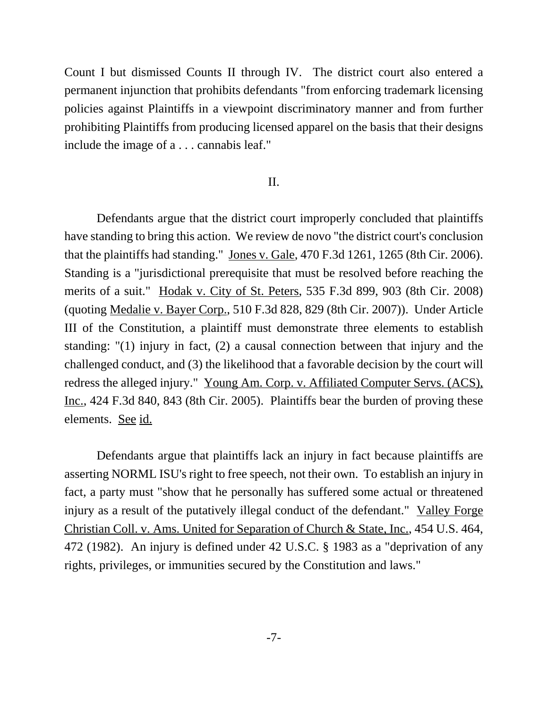Count I but dismissed Counts II through IV. The district court also entered a permanent injunction that prohibits defendants "from enforcing trademark licensing policies against Plaintiffs in a viewpoint discriminatory manner and from further prohibiting Plaintiffs from producing licensed apparel on the basis that their designs include the image of a . . . cannabis leaf."

### II.

Defendants argue that the district court improperly concluded that plaintiffs have standing to bring this action. We review de novo "the district court's conclusion that the plaintiffs had standing." Jones v. Gale, 470 F.3d 1261, 1265 (8th Cir. 2006). Standing is a "jurisdictional prerequisite that must be resolved before reaching the merits of a suit." Hodak v. City of St. Peters, 535 F.3d 899, 903 (8th Cir. 2008) (quoting Medalie v. Bayer Corp., 510 F.3d 828, 829 (8th Cir. 2007)). Under Article III of the Constitution, a plaintiff must demonstrate three elements to establish standing: "(1) injury in fact, (2) a causal connection between that injury and the challenged conduct, and (3) the likelihood that a favorable decision by the court will redress the alleged injury." Young Am. Corp. v. Affiliated Computer Servs. (ACS), Inc., 424 F.3d 840, 843 (8th Cir. 2005). Plaintiffs bear the burden of proving these elements. See id.

Defendants argue that plaintiffs lack an injury in fact because plaintiffs are asserting NORML ISU's right to free speech, not their own. To establish an injury in fact, a party must "show that he personally has suffered some actual or threatened injury as a result of the putatively illegal conduct of the defendant." Valley Forge Christian Coll. v. Ams. United for Separation of Church & State, Inc., 454 U.S. 464, 472 (1982). An injury is defined under 42 U.S.C. § 1983 as a "deprivation of any rights, privileges, or immunities secured by the Constitution and laws."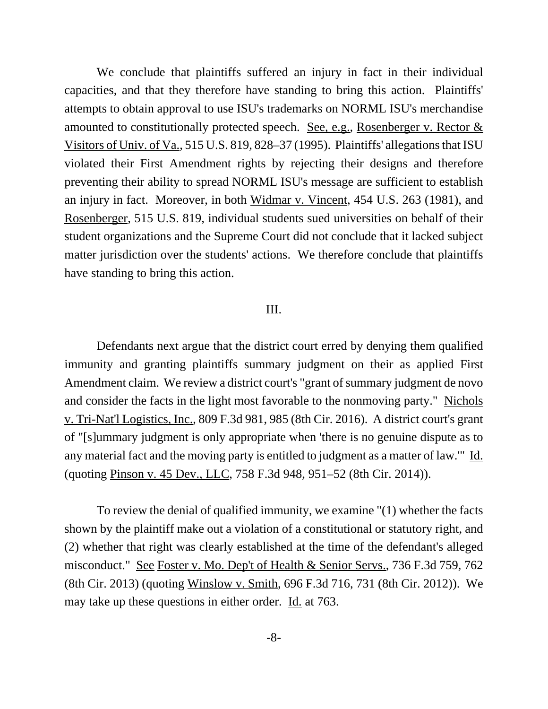We conclude that plaintiffs suffered an injury in fact in their individual capacities, and that they therefore have standing to bring this action. Plaintiffs' attempts to obtain approval to use ISU's trademarks on NORML ISU's merchandise amounted to constitutionally protected speech. See, e.g., Rosenberger v. Rector  $&$ Visitors of Univ. of Va., 515 U.S. 819, 828–37 (1995). Plaintiffs' allegations that ISU violated their First Amendment rights by rejecting their designs and therefore preventing their ability to spread NORML ISU's message are sufficient to establish an injury in fact. Moreover, in both Widmar v. Vincent, 454 U.S. 263 (1981), and Rosenberger, 515 U.S. 819, individual students sued universities on behalf of their student organizations and the Supreme Court did not conclude that it lacked subject matter jurisdiction over the students' actions. We therefore conclude that plaintiffs have standing to bring this action.

#### III.

Defendants next argue that the district court erred by denying them qualified immunity and granting plaintiffs summary judgment on their as applied First Amendment claim. We review a district court's "grant of summary judgment de novo and consider the facts in the light most favorable to the nonmoving party." Nichols v. Tri-Nat'l Logistics, Inc., 809 F.3d 981, 985 (8th Cir. 2016). A district court's grant of "[s]ummary judgment is only appropriate when 'there is no genuine dispute as to any material fact and the moving party is entitled to judgment as a matter of law." Id. (quoting Pinson v. 45 Dev., LLC, 758 F.3d 948, 951–52 (8th Cir. 2014)).

To review the denial of qualified immunity, we examine "(1) whether the facts shown by the plaintiff make out a violation of a constitutional or statutory right, and (2) whether that right was clearly established at the time of the defendant's alleged misconduct." See Foster v. Mo. Dep't of Health & Senior Servs., 736 F.3d 759, 762 (8th Cir. 2013) (quoting Winslow v. Smith, 696 F.3d 716, 731 (8th Cir. 2012)). We may take up these questions in either order. Id. at 763.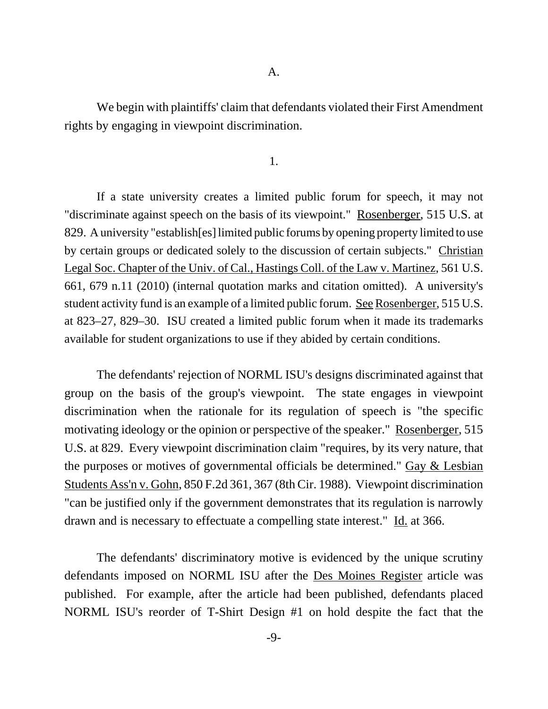We begin with plaintiffs' claim that defendants violated their First Amendment rights by engaging in viewpoint discrimination.

1.

If a state university creates a limited public forum for speech, it may not "discriminate against speech on the basis of its viewpoint." Rosenberger, 515 U.S. at 829. A university "establish[es] limited public forums by opening property limited to use by certain groups or dedicated solely to the discussion of certain subjects." Christian Legal Soc. Chapter of the Univ. of Cal., Hastings Coll. of the Law v. Martinez, 561 U.S. 661, 679 n.11 (2010) (internal quotation marks and citation omitted). A university's student activity fund is an example of a limited public forum. See Rosenberger, 515 U.S. at 823–27, 829–30. ISU created a limited public forum when it made its trademarks available for student organizations to use if they abided by certain conditions.

The defendants' rejection of NORML ISU's designs discriminated against that group on the basis of the group's viewpoint. The state engages in viewpoint discrimination when the rationale for its regulation of speech is "the specific motivating ideology or the opinion or perspective of the speaker." Rosenberger, 515 U.S. at 829. Every viewpoint discrimination claim "requires, by its very nature, that the purposes or motives of governmental officials be determined." Gay  $&$  Lesbian Students Ass'n v. Gohn, 850 F.2d 361, 367 (8th Cir. 1988). Viewpoint discrimination "can be justified only if the government demonstrates that its regulation is narrowly drawn and is necessary to effectuate a compelling state interest." Id. at 366.

The defendants' discriminatory motive is evidenced by the unique scrutiny defendants imposed on NORML ISU after the Des Moines Register article was published. For example, after the article had been published, defendants placed NORML ISU's reorder of T-Shirt Design #1 on hold despite the fact that the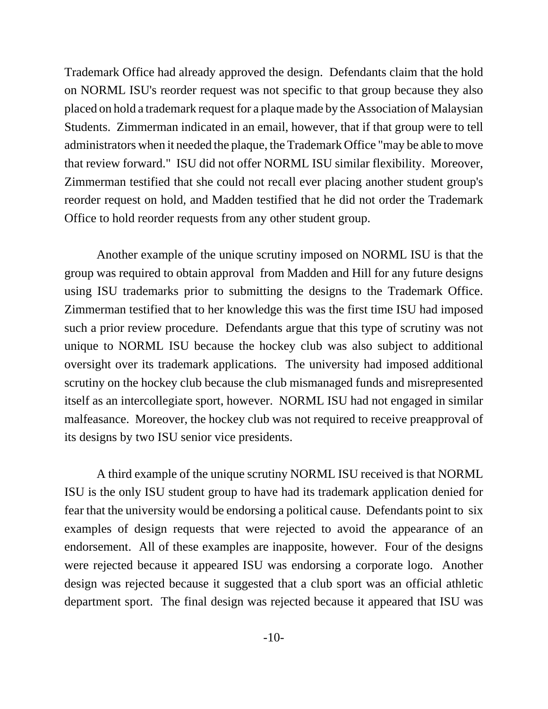Trademark Office had already approved the design. Defendants claim that the hold on NORML ISU's reorder request was not specific to that group because they also placed on hold a trademark request for a plaque made by the Association of Malaysian Students. Zimmerman indicated in an email, however, that if that group were to tell administrators when it needed the plaque, the Trademark Office "may be able to move that review forward." ISU did not offer NORML ISU similar flexibility. Moreover, Zimmerman testified that she could not recall ever placing another student group's reorder request on hold, and Madden testified that he did not order the Trademark Office to hold reorder requests from any other student group.

Another example of the unique scrutiny imposed on NORML ISU is that the group was required to obtain approval from Madden and Hill for any future designs using ISU trademarks prior to submitting the designs to the Trademark Office. Zimmerman testified that to her knowledge this was the first time ISU had imposed such a prior review procedure. Defendants argue that this type of scrutiny was not unique to NORML ISU because the hockey club was also subject to additional oversight over its trademark applications. The university had imposed additional scrutiny on the hockey club because the club mismanaged funds and misrepresented itself as an intercollegiate sport, however. NORML ISU had not engaged in similar malfeasance. Moreover, the hockey club was not required to receive preapproval of its designs by two ISU senior vice presidents.

A third example of the unique scrutiny NORML ISU received is that NORML ISU is the only ISU student group to have had its trademark application denied for fear that the university would be endorsing a political cause. Defendants point to six examples of design requests that were rejected to avoid the appearance of an endorsement. All of these examples are inapposite, however. Four of the designs were rejected because it appeared ISU was endorsing a corporate logo. Another design was rejected because it suggested that a club sport was an official athletic department sport. The final design was rejected because it appeared that ISU was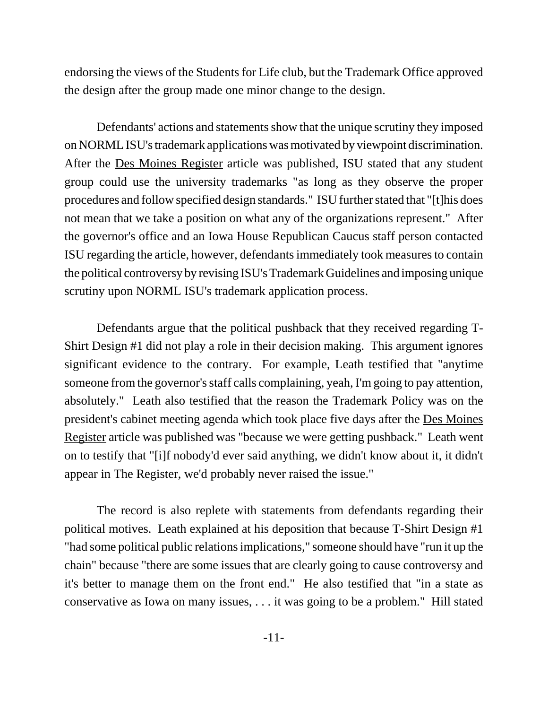endorsing the views of the Students for Life club, but the Trademark Office approved the design after the group made one minor change to the design.

Defendants' actions and statements show that the unique scrutiny they imposed on NORML ISU's trademark applications was motivated by viewpoint discrimination. After the Des Moines Register article was published, ISU stated that any student group could use the university trademarks "as long as they observe the proper procedures and follow specified design standards." ISU further stated that "[t]his does not mean that we take a position on what any of the organizations represent." After the governor's office and an Iowa House Republican Caucus staff person contacted ISU regarding the article, however, defendants immediately took measures to contain the political controversy by revising ISU's Trademark Guidelines and imposing unique scrutiny upon NORML ISU's trademark application process.

Defendants argue that the political pushback that they received regarding T-Shirt Design #1 did not play a role in their decision making. This argument ignores significant evidence to the contrary. For example, Leath testified that "anytime someone from the governor's staff calls complaining, yeah, I'm going to pay attention, absolutely." Leath also testified that the reason the Trademark Policy was on the president's cabinet meeting agenda which took place five days after the Des Moines Register article was published was "because we were getting pushback." Leath went on to testify that "[i]f nobody'd ever said anything, we didn't know about it, it didn't appear in The Register, we'd probably never raised the issue."

The record is also replete with statements from defendants regarding their political motives. Leath explained at his deposition that because T-Shirt Design #1 "had some political public relations implications," someone should have "run it up the chain" because "there are some issues that are clearly going to cause controversy and it's better to manage them on the front end." He also testified that "in a state as conservative as Iowa on many issues, . . . it was going to be a problem." Hill stated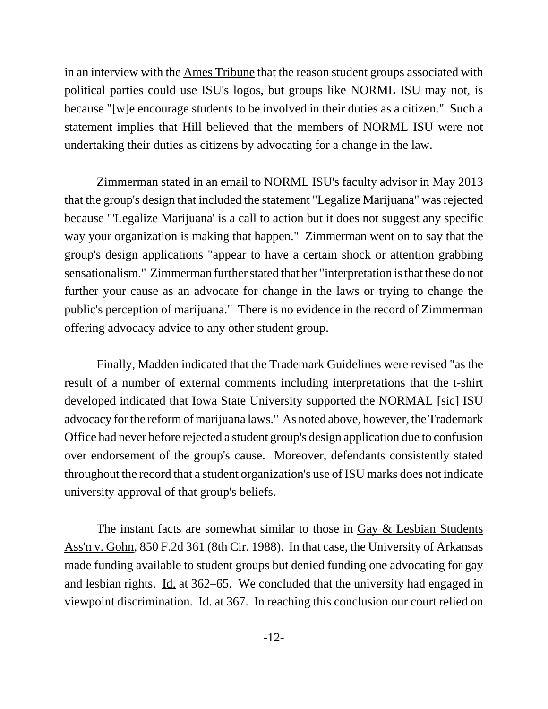in an interview with the Ames Tribune that the reason student groups associated with political parties could use ISU's logos, but groups like NORML ISU may not, is because "[w]e encourage students to be involved in their duties as a citizen." Such a statement implies that Hill believed that the members of NORML ISU were not undertaking their duties as citizens by advocating for a change in the law.

Zimmerman stated in an email to NORML ISU's faculty advisor in May 2013 that the group's design that included the statement "Legalize Marijuana" was rejected because "'Legalize Marijuana' is a call to action but it does not suggest any specific way your organization is making that happen." Zimmerman went on to say that the group's design applications "appear to have a certain shock or attention grabbing sensationalism." Zimmerman further stated that her "interpretation is that these do not further your cause as an advocate for change in the laws or trying to change the public's perception of marijuana." There is no evidence in the record of Zimmerman offering advocacy advice to any other student group.

Finally, Madden indicated that the Trademark Guidelines were revised "as the result of a number of external comments including interpretations that the t-shirt developed indicated that Iowa State University supported the NORMAL [sic] ISU advocacy for the reform of marijuana laws." As noted above, however, the Trademark Office had never before rejected a student group's design application due to confusion over endorsement of the group's cause. Moreover, defendants consistently stated throughout the record that a student organization's use of ISU marks does not indicate university approval of that group's beliefs.

The instant facts are somewhat similar to those in Gay & Lesbian Students Ass'n v. Gohn, 850 F.2d 361 (8th Cir. 1988). In that case, the University of Arkansas made funding available to student groups but denied funding one advocating for gay and lesbian rights. Id. at 362–65. We concluded that the university had engaged in viewpoint discrimination. Id. at 367. In reaching this conclusion our court relied on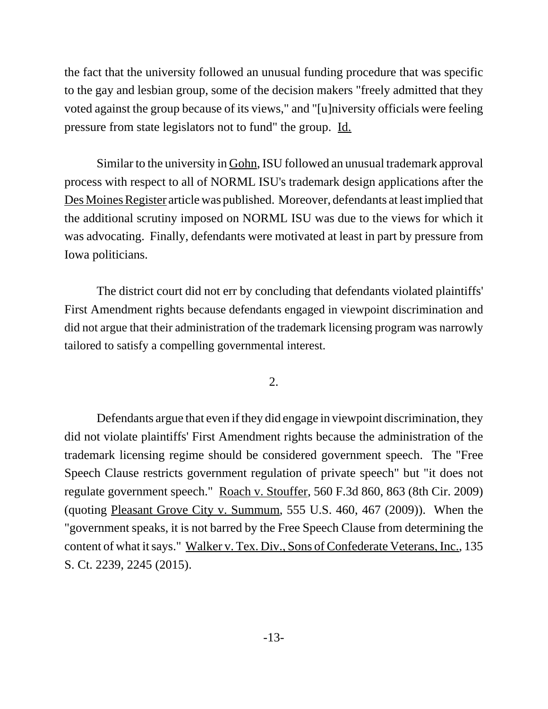the fact that the university followed an unusual funding procedure that was specific to the gay and lesbian group, some of the decision makers "freely admitted that they voted against the group because of its views," and "[u]niversity officials were feeling pressure from state legislators not to fund" the group. Id.

Similar to the university in Gohn, ISU followed an unusual trademark approval process with respect to all of NORML ISU's trademark design applications after the Des Moines Register article was published. Moreover, defendants at least implied that the additional scrutiny imposed on NORML ISU was due to the views for which it was advocating. Finally, defendants were motivated at least in part by pressure from Iowa politicians.

The district court did not err by concluding that defendants violated plaintiffs' First Amendment rights because defendants engaged in viewpoint discrimination and did not argue that their administration of the trademark licensing program was narrowly tailored to satisfy a compelling governmental interest.

2.

Defendants argue that even if they did engage in viewpoint discrimination, they did not violate plaintiffs' First Amendment rights because the administration of the trademark licensing regime should be considered government speech. The "Free Speech Clause restricts government regulation of private speech" but "it does not regulate government speech." Roach v. Stouffer, 560 F.3d 860, 863 (8th Cir. 2009) (quoting Pleasant Grove City v. Summum, 555 U.S. 460, 467 (2009)). When the "government speaks, it is not barred by the Free Speech Clause from determining the content of what it says." Walker v. Tex. Div., Sons of Confederate Veterans, Inc., 135 S. Ct. 2239, 2245 (2015).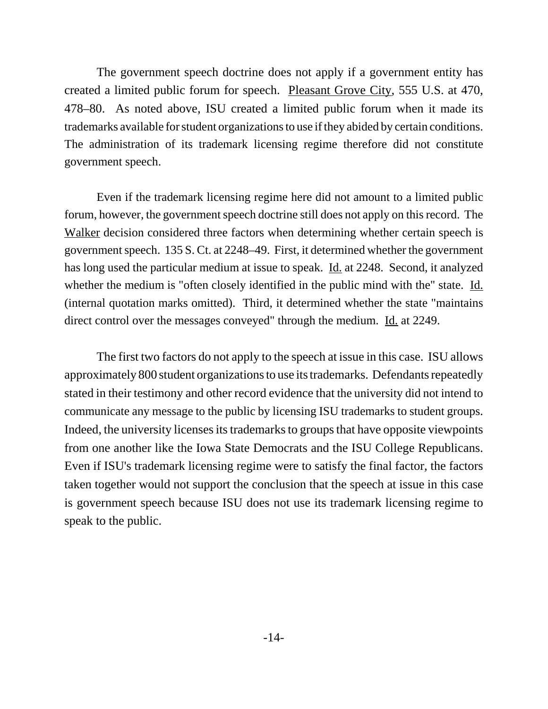The government speech doctrine does not apply if a government entity has created a limited public forum for speech. Pleasant Grove City, 555 U.S. at 470, 478–80. As noted above, ISU created a limited public forum when it made its trademarks available for student organizations to use if they abided by certain conditions. The administration of its trademark licensing regime therefore did not constitute government speech.

Even if the trademark licensing regime here did not amount to a limited public forum, however, the government speech doctrine still does not apply on this record. The Walker decision considered three factors when determining whether certain speech is government speech. 135 S. Ct. at 2248–49. First, it determined whether the government has long used the particular medium at issue to speak. Id. at 2248. Second, it analyzed whether the medium is "often closely identified in the public mind with the" state. Id. (internal quotation marks omitted). Third, it determined whether the state "maintains direct control over the messages conveyed" through the medium. <u>Id.</u> at 2249.

The first two factors do not apply to the speech at issue in this case. ISU allows approximately 800 student organizations to use its trademarks. Defendants repeatedly stated in their testimony and other record evidence that the university did not intend to communicate any message to the public by licensing ISU trademarks to student groups. Indeed, the university licenses its trademarks to groups that have opposite viewpoints from one another like the Iowa State Democrats and the ISU College Republicans. Even if ISU's trademark licensing regime were to satisfy the final factor, the factors taken together would not support the conclusion that the speech at issue in this case is government speech because ISU does not use its trademark licensing regime to speak to the public.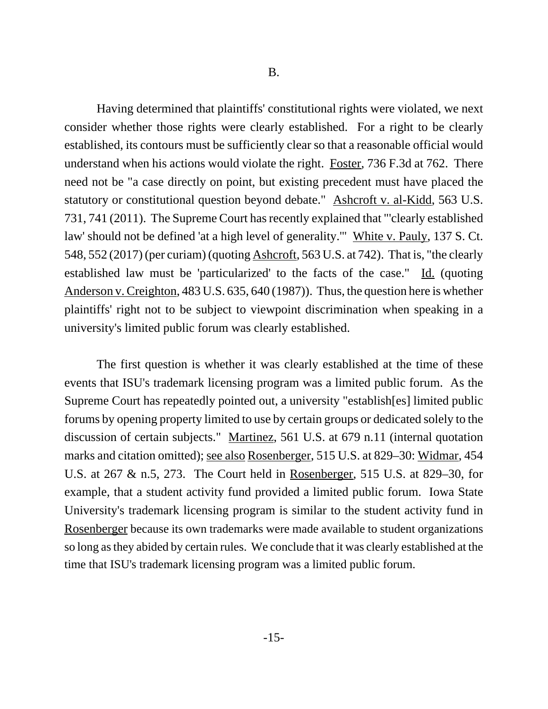Having determined that plaintiffs' constitutional rights were violated, we next consider whether those rights were clearly established. For a right to be clearly established, its contours must be sufficiently clear so that a reasonable official would understand when his actions would violate the right. Foster, 736 F.3d at 762. There need not be "a case directly on point, but existing precedent must have placed the statutory or constitutional question beyond debate." Ashcroft v. al-Kidd, 563 U.S. 731, 741 (2011). The Supreme Court has recently explained that "'clearly established law' should not be defined 'at a high level of generality.'" White v. Pauly, 137 S. Ct. 548, 552 (2017) (per curiam) (quoting Ashcroft, 563 U.S. at 742). That is, "the clearly established law must be 'particularized' to the facts of the case." Id. (quoting Anderson v. Creighton, 483 U.S. 635, 640 (1987)). Thus, the question here is whether plaintiffs' right not to be subject to viewpoint discrimination when speaking in a university's limited public forum was clearly established.

The first question is whether it was clearly established at the time of these events that ISU's trademark licensing program was a limited public forum. As the Supreme Court has repeatedly pointed out, a university "establish[es] limited public forums by opening property limited to use by certain groups or dedicated solely to the discussion of certain subjects." Martinez, 561 U.S. at 679 n.11 (internal quotation marks and citation omitted); see also Rosenberger, 515 U.S. at 829–30: Widmar, 454 U.S. at 267 & n.5, 273. The Court held in Rosenberger, 515 U.S. at 829–30, for example, that a student activity fund provided a limited public forum. Iowa State University's trademark licensing program is similar to the student activity fund in Rosenberger because its own trademarks were made available to student organizations so long as they abided by certain rules. We conclude that it was clearly established at the time that ISU's trademark licensing program was a limited public forum.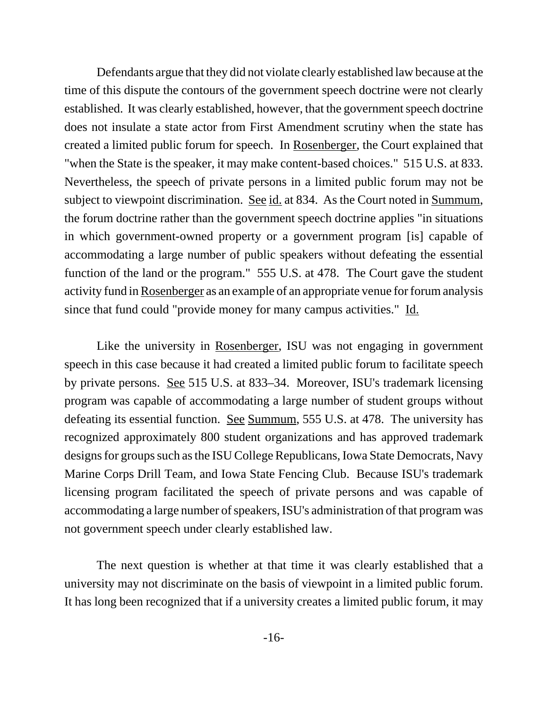Defendants argue that they did not violate clearly established law because at the time of this dispute the contours of the government speech doctrine were not clearly established. It was clearly established, however, that the government speech doctrine does not insulate a state actor from First Amendment scrutiny when the state has created a limited public forum for speech. In Rosenberger, the Court explained that "when the State is the speaker, it may make content-based choices." 515 U.S. at 833. Nevertheless, the speech of private persons in a limited public forum may not be subject to viewpoint discrimination. See id. at 834. As the Court noted in Summum, the forum doctrine rather than the government speech doctrine applies "in situations in which government-owned property or a government program [is] capable of accommodating a large number of public speakers without defeating the essential function of the land or the program." 555 U.S. at 478. The Court gave the student activity fund in Rosenberger as an example of an appropriate venue for forum analysis since that fund could "provide money for many campus activities." Id.

Like the university in Rosenberger, ISU was not engaging in government speech in this case because it had created a limited public forum to facilitate speech by private persons. See 515 U.S. at 833–34. Moreover, ISU's trademark licensing program was capable of accommodating a large number of student groups without defeating its essential function. See Summum, 555 U.S. at 478. The university has recognized approximately 800 student organizations and has approved trademark designs for groups such as the ISU College Republicans, Iowa State Democrats, Navy Marine Corps Drill Team, and Iowa State Fencing Club. Because ISU's trademark licensing program facilitated the speech of private persons and was capable of accommodating a large number of speakers, ISU's administration of that program was not government speech under clearly established law.

The next question is whether at that time it was clearly established that a university may not discriminate on the basis of viewpoint in a limited public forum. It has long been recognized that if a university creates a limited public forum, it may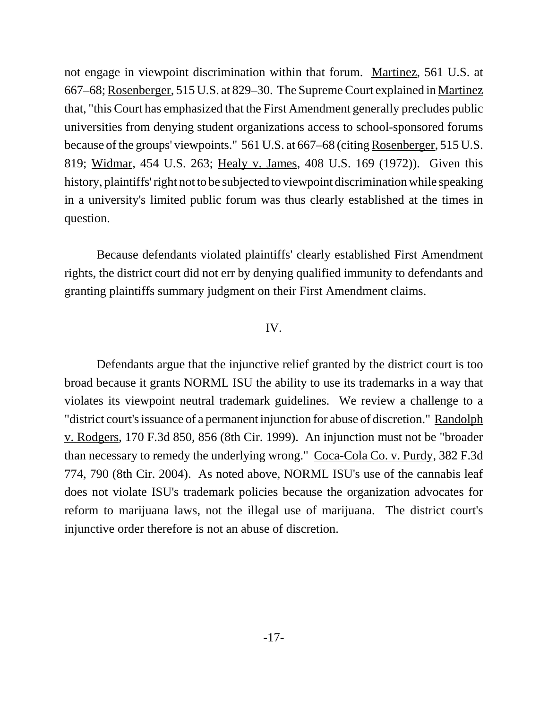not engage in viewpoint discrimination within that forum. Martinez, 561 U.S. at 667–68; Rosenberger, 515 U.S. at 829–30. The Supreme Court explained in Martinez that, "this Court has emphasized that the First Amendment generally precludes public universities from denying student organizations access to school-sponsored forums because of the groups' viewpoints." 561 U.S. at 667–68 (citing Rosenberger, 515 U.S. 819; Widmar, 454 U.S. 263; Healy v. James, 408 U.S. 169 (1972)). Given this history, plaintiffs' right not to be subjected to viewpoint discrimination while speaking in a university's limited public forum was thus clearly established at the times in question.

Because defendants violated plaintiffs' clearly established First Amendment rights, the district court did not err by denying qualified immunity to defendants and granting plaintiffs summary judgment on their First Amendment claims.

# IV.

Defendants argue that the injunctive relief granted by the district court is too broad because it grants NORML ISU the ability to use its trademarks in a way that violates its viewpoint neutral trademark guidelines. We review a challenge to a "district court's issuance of a permanent injunction for abuse of discretion." Randolph v. Rodgers, 170 F.3d 850, 856 (8th Cir. 1999). An injunction must not be "broader than necessary to remedy the underlying wrong." Coca-Cola Co. v. Purdy, 382 F.3d 774, 790 (8th Cir. 2004). As noted above, NORML ISU's use of the cannabis leaf does not violate ISU's trademark policies because the organization advocates for reform to marijuana laws, not the illegal use of marijuana. The district court's injunctive order therefore is not an abuse of discretion.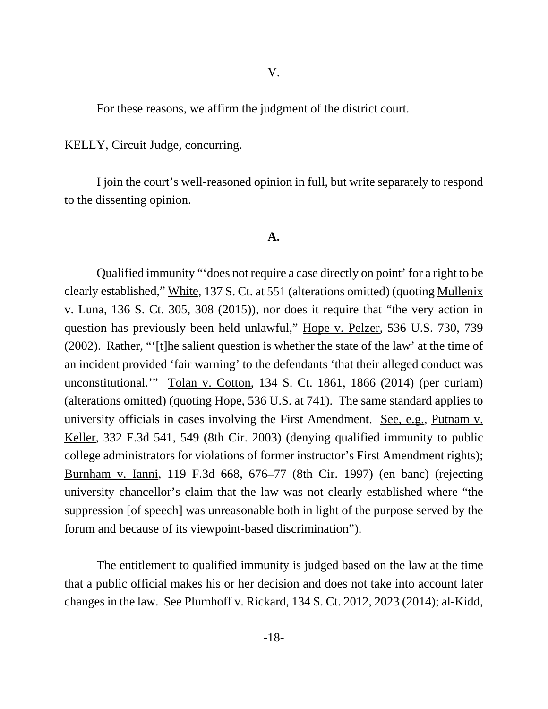For these reasons, we affirm the judgment of the district court.

KELLY, Circuit Judge, concurring.

I join the court's well-reasoned opinion in full, but write separately to respond to the dissenting opinion.

#### **A.**

Qualified immunity "'does not require a case directly on point' for a right to be clearly established," White, 137 S. Ct. at 551 (alterations omitted) (quoting Mullenix v. Luna, 136 S. Ct. 305, 308 (2015)), nor does it require that "the very action in question has previously been held unlawful," Hope v. Pelzer, 536 U.S. 730, 739 (2002). Rather, "'[t]he salient question is whether the state of the law' at the time of an incident provided 'fair warning' to the defendants 'that their alleged conduct was unconstitutional.'" Tolan v. Cotton, 134 S. Ct. 1861, 1866 (2014) (per curiam) (alterations omitted) (quoting Hope, 536 U.S. at 741). The same standard applies to university officials in cases involving the First Amendment. See, e.g., Putnam v. Keller, 332 F.3d 541, 549 (8th Cir. 2003) (denying qualified immunity to public college administrators for violations of former instructor's First Amendment rights); Burnham v. Ianni, 119 F.3d 668, 676–77 (8th Cir. 1997) (en banc) (rejecting university chancellor's claim that the law was not clearly established where "the suppression [of speech] was unreasonable both in light of the purpose served by the forum and because of its viewpoint-based discrimination").

The entitlement to qualified immunity is judged based on the law at the time that a public official makes his or her decision and does not take into account later changes in the law. See Plumhoff v. Rickard, 134 S. Ct. 2012, 2023 (2014); al-Kidd,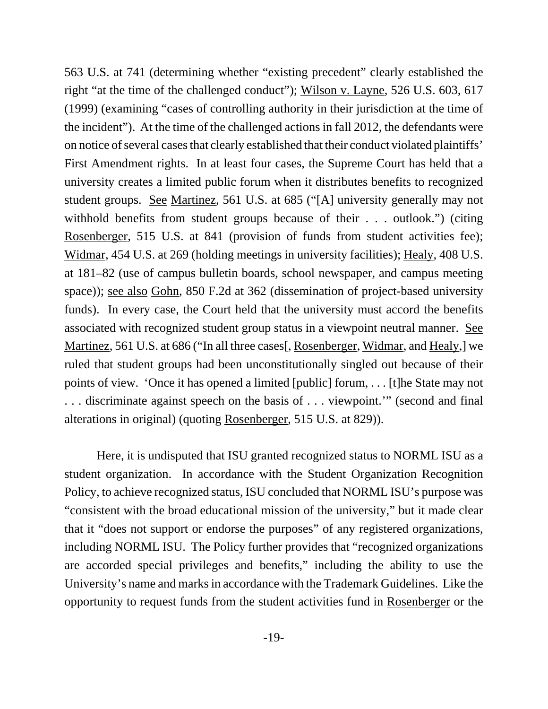563 U.S. at 741 (determining whether "existing precedent" clearly established the right "at the time of the challenged conduct"); Wilson v. Layne, 526 U.S. 603, 617 (1999) (examining "cases of controlling authority in their jurisdiction at the time of the incident"). At the time of the challenged actions in fall 2012, the defendants were on notice of several cases that clearly established that their conduct violated plaintiffs' First Amendment rights. In at least four cases, the Supreme Court has held that a university creates a limited public forum when it distributes benefits to recognized student groups. See Martinez, 561 U.S. at 685 ("[A] university generally may not withhold benefits from student groups because of their . . . outlook.") (citing Rosenberger, 515 U.S. at 841 (provision of funds from student activities fee); Widmar, 454 U.S. at 269 (holding meetings in university facilities); Healy, 408 U.S. at 181–82 (use of campus bulletin boards, school newspaper, and campus meeting space)); see also Gohn, 850 F.2d at 362 (dissemination of project-based university funds). In every case, the Court held that the university must accord the benefits associated with recognized student group status in a viewpoint neutral manner. See Martinez, 561 U.S. at 686 ("In all three cases[, Rosenberger, Widmar, and Healy,] we ruled that student groups had been unconstitutionally singled out because of their points of view. 'Once it has opened a limited [public] forum, . . . [t]he State may not . . . discriminate against speech on the basis of . . . viewpoint.'" (second and final alterations in original) (quoting Rosenberger, 515 U.S. at 829)).

Here, it is undisputed that ISU granted recognized status to NORML ISU as a student organization. In accordance with the Student Organization Recognition Policy, to achieve recognized status, ISU concluded that NORML ISU's purpose was "consistent with the broad educational mission of the university," but it made clear that it "does not support or endorse the purposes" of any registered organizations, including NORML ISU. The Policy further provides that "recognized organizations are accorded special privileges and benefits," including the ability to use the University's name and marks in accordance with the Trademark Guidelines. Like the opportunity to request funds from the student activities fund in Rosenberger or the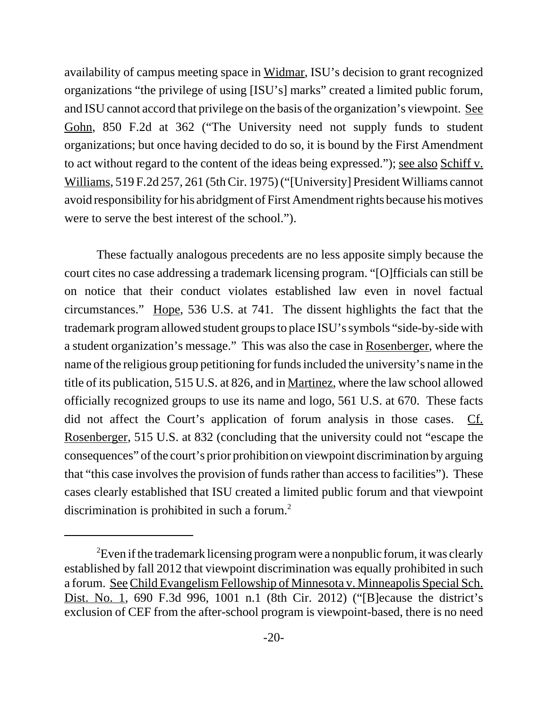availability of campus meeting space in Widmar, ISU's decision to grant recognized organizations "the privilege of using [ISU's] marks" created a limited public forum, and ISU cannot accord that privilege on the basis of the organization's viewpoint. See Gohn, 850 F.2d at 362 ("The University need not supply funds to student organizations; but once having decided to do so, it is bound by the First Amendment to act without regard to the content of the ideas being expressed."); see also Schiff v. Williams, 519 F.2d 257, 261 (5th Cir. 1975) ("[University] President Williams cannot avoid responsibility for his abridgment of First Amendment rights because his motives were to serve the best interest of the school.").

These factually analogous precedents are no less apposite simply because the court cites no case addressing a trademark licensing program. "[O]fficials can still be on notice that their conduct violates established law even in novel factual circumstances." Hope, 536 U.S. at 741. The dissent highlights the fact that the trademark program allowed student groups to place ISU's symbols "side-by-side with a student organization's message." This was also the case in Rosenberger, where the name of the religious group petitioning for funds included the university's name in the title of its publication, 515 U.S. at 826, and in Martinez, where the law school allowed officially recognized groups to use its name and logo, 561 U.S. at 670. These facts did not affect the Court's application of forum analysis in those cases. Cf. Rosenberger, 515 U.S. at 832 (concluding that the university could not "escape the consequences" of the court's prior prohibition on viewpoint discrimination by arguing that "this case involves the provision of funds rather than access to facilities"). These cases clearly established that ISU created a limited public forum and that viewpoint discrimination is prohibited in such a forum.<sup>2</sup>

 ${}^{2}$ Even if the trademark licensing program were a nonpublic forum, it was clearly established by fall 2012 that viewpoint discrimination was equally prohibited in such a forum. See Child Evangelism Fellowship of Minnesota v. Minneapolis Special Sch. Dist. No. 1, 690 F.3d 996, 1001 n.1 (8th Cir. 2012) ("[B]ecause the district's exclusion of CEF from the after-school program is viewpoint-based, there is no need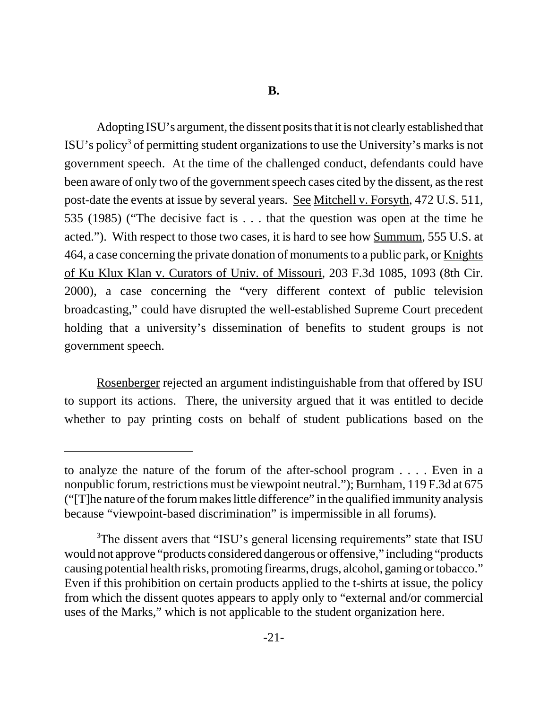Adopting ISU's argument, the dissent posits that it is not clearly established that ISU's policy<sup>3</sup> of permitting student organizations to use the University's marks is not government speech. At the time of the challenged conduct, defendants could have been aware of only two of the government speech cases cited by the dissent, as the rest post-date the events at issue by several years. See Mitchell v. Forsyth, 472 U.S. 511, 535 (1985) ("The decisive fact is . . . that the question was open at the time he acted."). With respect to those two cases, it is hard to see how Summum, 555 U.S. at 464, a case concerning the private donation of monuments to a public park, or Knights of Ku Klux Klan v. Curators of Univ. of Missouri, 203 F.3d 1085, 1093 (8th Cir. 2000), a case concerning the "very different context of public television broadcasting," could have disrupted the well-established Supreme Court precedent holding that a university's dissemination of benefits to student groups is not government speech.

Rosenberger rejected an argument indistinguishable from that offered by ISU to support its actions. There, the university argued that it was entitled to decide whether to pay printing costs on behalf of student publications based on the

to analyze the nature of the forum of the after-school program . . . . Even in a nonpublic forum, restrictions must be viewpoint neutral."); Burnham, 119 F.3d at 675 ("[T]he nature of the forum makes little difference" in the qualified immunity analysis because "viewpoint-based discrimination" is impermissible in all forums).

<sup>&</sup>lt;sup>3</sup>The dissent avers that "ISU's general licensing requirements" state that ISU would not approve "products considered dangerous or offensive," including "products causing potential health risks, promoting firearms, drugs, alcohol, gaming or tobacco." Even if this prohibition on certain products applied to the t-shirts at issue, the policy from which the dissent quotes appears to apply only to "external and/or commercial uses of the Marks," which is not applicable to the student organization here.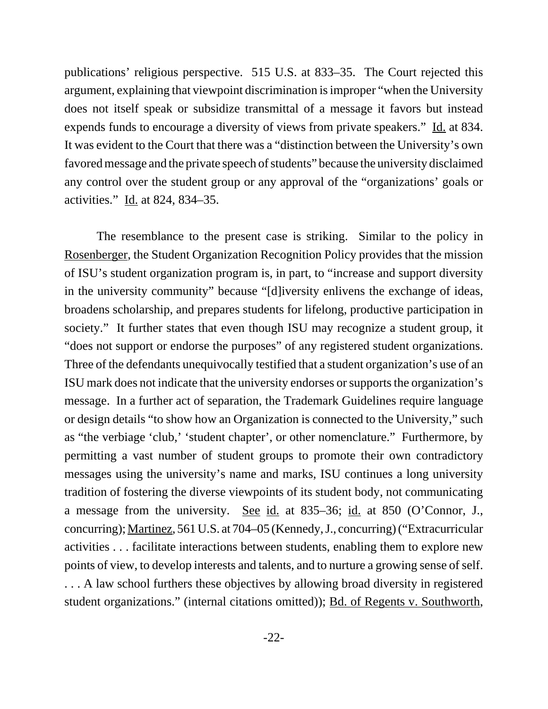publications' religious perspective. 515 U.S. at 833–35. The Court rejected this argument, explaining that viewpoint discrimination is improper "when the University does not itself speak or subsidize transmittal of a message it favors but instead expends funds to encourage a diversity of views from private speakers." Id. at 834. It was evident to the Court that there was a "distinction between the University's own favored message and the private speech of students" because the university disclaimed any control over the student group or any approval of the "organizations' goals or activities." Id. at 824, 834–35.

The resemblance to the present case is striking. Similar to the policy in Rosenberger, the Student Organization Recognition Policy provides that the mission of ISU's student organization program is, in part, to "increase and support diversity in the university community" because "[d]iversity enlivens the exchange of ideas, broadens scholarship, and prepares students for lifelong, productive participation in society." It further states that even though ISU may recognize a student group, it "does not support or endorse the purposes" of any registered student organizations. Three of the defendants unequivocally testified that a student organization's use of an ISU mark does not indicate that the university endorses or supports the organization's message. In a further act of separation, the Trademark Guidelines require language or design details "to show how an Organization is connected to the University," such as "the verbiage 'club,' 'student chapter', or other nomenclature." Furthermore, by permitting a vast number of student groups to promote their own contradictory messages using the university's name and marks, ISU continues a long university tradition of fostering the diverse viewpoints of its student body, not communicating a message from the university. See id. at 835–36; id. at 850 (O'Connor, J., concurring); Martinez, 561 U.S. at 704–05 (Kennedy, J., concurring) ("Extracurricular activities . . . facilitate interactions between students, enabling them to explore new points of view, to develop interests and talents, and to nurture a growing sense of self. ... A law school furthers these objectives by allowing broad diversity in registered student organizations." (internal citations omitted)); Bd. of Regents v. Southworth,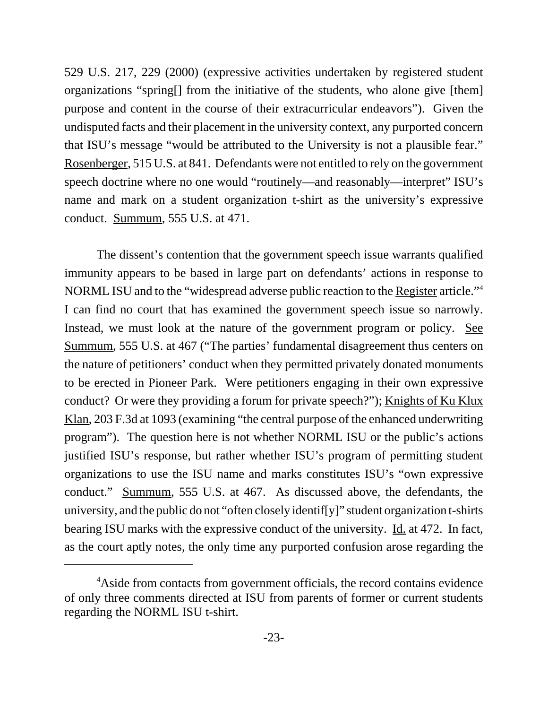529 U.S. 217, 229 (2000) (expressive activities undertaken by registered student organizations "spring[] from the initiative of the students, who alone give [them] purpose and content in the course of their extracurricular endeavors"). Given the undisputed facts and their placement in the university context, any purported concern that ISU's message "would be attributed to the University is not a plausible fear." Rosenberger, 515 U.S. at 841. Defendants were not entitled to rely on the government speech doctrine where no one would "routinely—and reasonably—interpret" ISU's name and mark on a student organization t-shirt as the university's expressive conduct. Summum, 555 U.S. at 471.

The dissent's contention that the government speech issue warrants qualified immunity appears to be based in large part on defendants' actions in response to NORML ISU and to the "widespread adverse public reaction to the Register article."4 I can find no court that has examined the government speech issue so narrowly. Instead, we must look at the nature of the government program or policy. See Summum, 555 U.S. at 467 ("The parties' fundamental disagreement thus centers on the nature of petitioners' conduct when they permitted privately donated monuments to be erected in Pioneer Park. Were petitioners engaging in their own expressive conduct? Or were they providing a forum for private speech?"); Knights of Ku Klux Klan, 203 F.3d at 1093 (examining "the central purpose of the enhanced underwriting program"). The question here is not whether NORML ISU or the public's actions justified ISU's response, but rather whether ISU's program of permitting student organizations to use the ISU name and marks constitutes ISU's "own expressive conduct." Summum, 555 U.S. at 467. As discussed above, the defendants, the university, and the public do not "often closely identif[y]" student organization t-shirts bearing ISU marks with the expressive conduct of the university. Id. at 472. In fact, as the court aptly notes, the only time any purported confusion arose regarding the

<sup>&</sup>lt;sup>4</sup>Aside from contacts from government officials, the record contains evidence of only three comments directed at ISU from parents of former or current students regarding the NORML ISU t-shirt.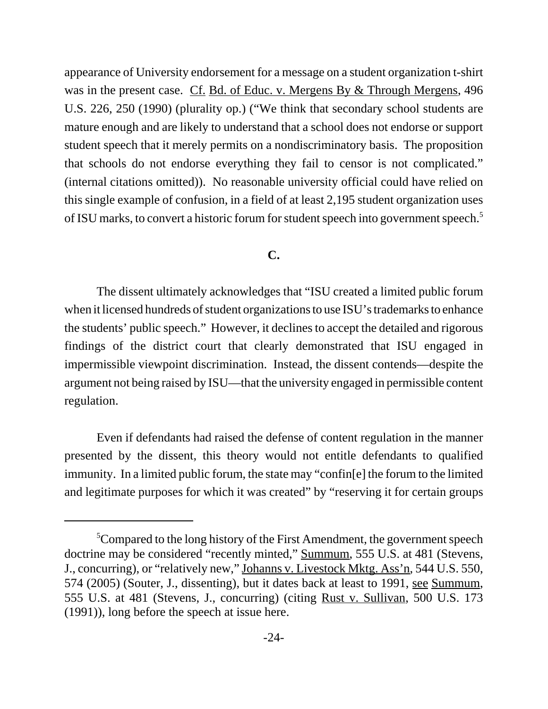appearance of University endorsement for a message on a student organization t-shirt was in the present case. Cf. Bd. of Educ. v. Mergens By & Through Mergens, 496 U.S. 226, 250 (1990) (plurality op.) ("We think that secondary school students are mature enough and are likely to understand that a school does not endorse or support student speech that it merely permits on a nondiscriminatory basis. The proposition that schools do not endorse everything they fail to censor is not complicated." (internal citations omitted)). No reasonable university official could have relied on this single example of confusion, in a field of at least 2,195 student organization uses of ISU marks, to convert a historic forum for student speech into government speech.5

### **C.**

The dissent ultimately acknowledges that "ISU created a limited public forum when it licensed hundreds of student organizations to use ISU's trademarks to enhance the students' public speech." However, it declines to accept the detailed and rigorous findings of the district court that clearly demonstrated that ISU engaged in impermissible viewpoint discrimination. Instead, the dissent contends—despite the argument not being raised by ISU—that the university engaged in permissible content regulation.

Even if defendants had raised the defense of content regulation in the manner presented by the dissent, this theory would not entitle defendants to qualified immunity. In a limited public forum, the state may "confin[e] the forum to the limited and legitimate purposes for which it was created" by "reserving it for certain groups

 ${}^{5}$ Compared to the long history of the First Amendment, the government speech doctrine may be considered "recently minted," Summum, 555 U.S. at 481 (Stevens, J., concurring), or "relatively new," Johanns v. Livestock Mktg. Ass'n, 544 U.S. 550, 574 (2005) (Souter, J., dissenting), but it dates back at least to 1991, see Summum, 555 U.S. at 481 (Stevens, J., concurring) (citing Rust v. Sullivan, 500 U.S. 173 (1991)), long before the speech at issue here.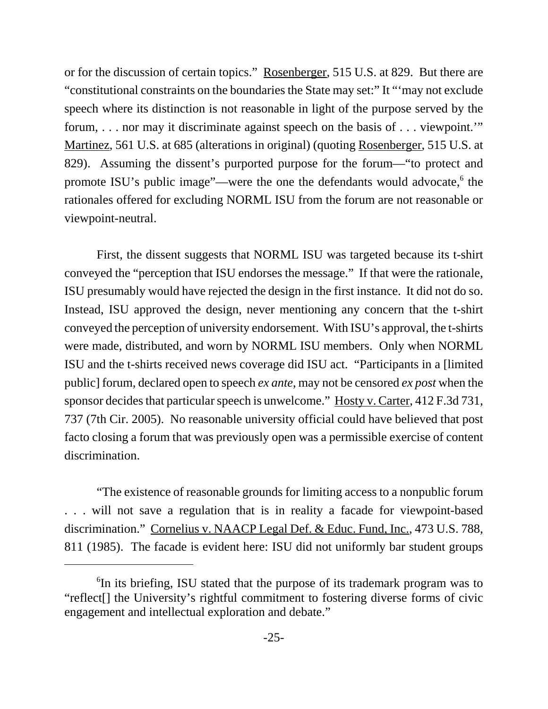or for the discussion of certain topics." Rosenberger, 515 U.S. at 829. But there are "constitutional constraints on the boundaries the State may set:" It "'may not exclude speech where its distinction is not reasonable in light of the purpose served by the forum, . . . nor may it discriminate against speech on the basis of . . . viewpoint.'" Martinez, 561 U.S. at 685 (alterations in original) (quoting Rosenberger, 515 U.S. at 829). Assuming the dissent's purported purpose for the forum—"to protect and promote ISU's public image"—were the one the defendants would advocate, <sup>6</sup> the rationales offered for excluding NORML ISU from the forum are not reasonable or viewpoint-neutral.

First, the dissent suggests that NORML ISU was targeted because its t-shirt conveyed the "perception that ISU endorses the message." If that were the rationale, ISU presumably would have rejected the design in the first instance. It did not do so. Instead, ISU approved the design, never mentioning any concern that the t-shirt conveyed the perception of university endorsement. With ISU's approval, the t-shirts were made, distributed, and worn by NORML ISU members. Only when NORML ISU and the t-shirts received news coverage did ISU act. "Participants in a [limited public] forum, declared open to speech *ex ante*, may not be censored *ex post* when the sponsor decides that particular speech is unwelcome." Hosty v. Carter, 412 F.3d 731, 737 (7th Cir. 2005). No reasonable university official could have believed that post facto closing a forum that was previously open was a permissible exercise of content discrimination.

"The existence of reasonable grounds for limiting access to a nonpublic forum . . . will not save a regulation that is in reality a facade for viewpoint-based discrimination." Cornelius v. NAACP Legal Def. & Educ. Fund, Inc., 473 U.S. 788, 811 (1985). The facade is evident here: ISU did not uniformly bar student groups

<sup>&</sup>lt;sup>6</sup>In its briefing, ISU stated that the purpose of its trademark program was to "reflect[] the University's rightful commitment to fostering diverse forms of civic engagement and intellectual exploration and debate."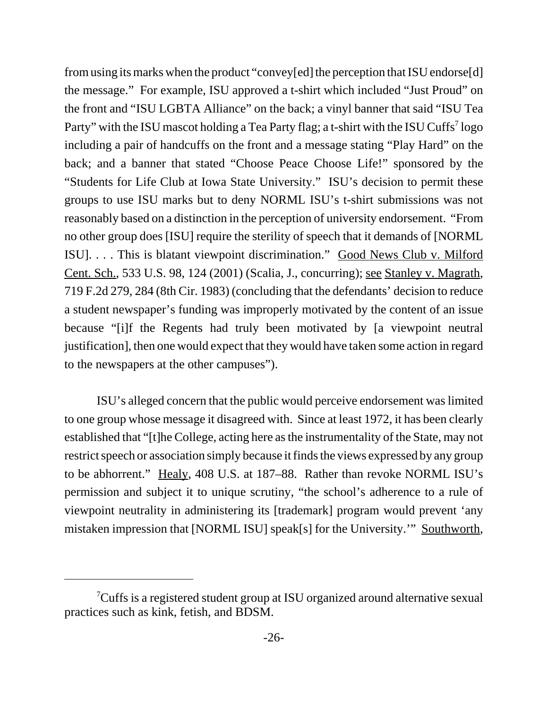from using its marks when the product "convey[ed] the perception that ISU endorse[d] the message." For example, ISU approved a t-shirt which included "Just Proud" on the front and "ISU LGBTA Alliance" on the back; a vinyl banner that said "ISU Tea Party" with the ISU mascot holding a Tea Party flag; a t-shirt with the ISU Cuffs<sup>7</sup> logo including a pair of handcuffs on the front and a message stating "Play Hard" on the back; and a banner that stated "Choose Peace Choose Life!" sponsored by the "Students for Life Club at Iowa State University." ISU's decision to permit these groups to use ISU marks but to deny NORML ISU's t-shirt submissions was not reasonably based on a distinction in the perception of university endorsement. "From no other group does [ISU] require the sterility of speech that it demands of [NORML ISU]. . . . This is blatant viewpoint discrimination." Good News Club v. Milford Cent. Sch., 533 U.S. 98, 124 (2001) (Scalia, J., concurring); see Stanley v. Magrath, 719 F.2d 279, 284 (8th Cir. 1983) (concluding that the defendants' decision to reduce a student newspaper's funding was improperly motivated by the content of an issue because "[i]f the Regents had truly been motivated by [a viewpoint neutral justification], then one would expect that they would have taken some action in regard to the newspapers at the other campuses").

ISU's alleged concern that the public would perceive endorsement was limited to one group whose message it disagreed with. Since at least 1972, it has been clearly established that "[t]he College, acting here as the instrumentality of the State, may not restrict speech or association simply because it finds the views expressed by any group to be abhorrent." Healy, 408 U.S. at 187–88. Rather than revoke NORML ISU's permission and subject it to unique scrutiny, "the school's adherence to a rule of viewpoint neutrality in administering its [trademark] program would prevent 'any mistaken impression that [NORML ISU] speak[s] for the University.'" Southworth,

<sup>&</sup>lt;sup>7</sup>Cuffs is a registered student group at ISU organized around alternative sexual practices such as kink, fetish, and BDSM.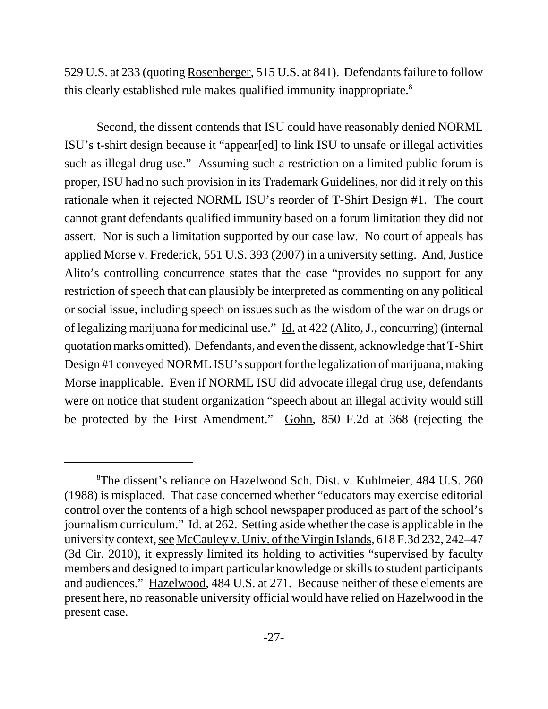529 U.S. at 233 (quoting Rosenberger, 515 U.S. at 841). Defendants failure to follow this clearly established rule makes qualified immunity inappropriate.<sup>8</sup>

Second, the dissent contends that ISU could have reasonably denied NORML ISU's t-shirt design because it "appear[ed] to link ISU to unsafe or illegal activities such as illegal drug use." Assuming such a restriction on a limited public forum is proper, ISU had no such provision in its Trademark Guidelines, nor did it rely on this rationale when it rejected NORML ISU's reorder of T-Shirt Design #1. The court cannot grant defendants qualified immunity based on a forum limitation they did not assert. Nor is such a limitation supported by our case law. No court of appeals has applied Morse v. Frederick, 551 U.S. 393 (2007) in a university setting. And, Justice Alito's controlling concurrence states that the case "provides no support for any restriction of speech that can plausibly be interpreted as commenting on any political or social issue, including speech on issues such as the wisdom of the war on drugs or of legalizing marijuana for medicinal use." Id. at 422 (Alito, J., concurring) (internal quotation marks omitted). Defendants, and even the dissent, acknowledge that T-Shirt Design #1 conveyed NORML ISU's support for the legalization of marijuana, making Morse inapplicable. Even if NORML ISU did advocate illegal drug use, defendants were on notice that student organization "speech about an illegal activity would still be protected by the First Amendment." Gohn, 850 F.2d at 368 (rejecting the

<sup>&</sup>lt;sup>8</sup>The dissent's reliance on Hazelwood Sch. Dist. v. Kuhlmeier, 484 U.S. 260 (1988) is misplaced. That case concerned whether "educators may exercise editorial control over the contents of a high school newspaper produced as part of the school's journalism curriculum." Id. at 262. Setting aside whether the case is applicable in the university context, see McCauley v. Univ. of the Virgin Islands, 618 F.3d 232, 242–47 (3d Cir. 2010), it expressly limited its holding to activities "supervised by faculty members and designed to impart particular knowledge or skills to student participants and audiences." Hazelwood, 484 U.S. at 271. Because neither of these elements are present here, no reasonable university official would have relied on Hazelwood in the present case.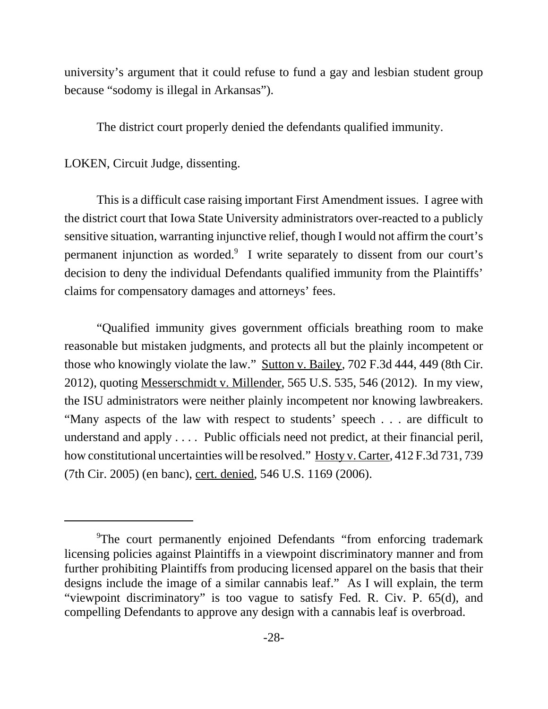university's argument that it could refuse to fund a gay and lesbian student group because "sodomy is illegal in Arkansas").

The district court properly denied the defendants qualified immunity.

# LOKEN, Circuit Judge, dissenting.

This is a difficult case raising important First Amendment issues. I agree with the district court that Iowa State University administrators over-reacted to a publicly sensitive situation, warranting injunctive relief, though I would not affirm the court's permanent injunction as worded.<sup>9</sup> I write separately to dissent from our court's decision to deny the individual Defendants qualified immunity from the Plaintiffs' claims for compensatory damages and attorneys' fees.

"Qualified immunity gives government officials breathing room to make reasonable but mistaken judgments, and protects all but the plainly incompetent or those who knowingly violate the law." Sutton v. Bailey, 702 F.3d 444, 449 (8th Cir. 2012), quoting Messerschmidt v. Millender, 565 U.S. 535, 546 (2012). In my view, the ISU administrators were neither plainly incompetent nor knowing lawbreakers. "Many aspects of the law with respect to students' speech . . . are difficult to understand and apply . . . . Public officials need not predict, at their financial peril, how constitutional uncertainties will be resolved." Hosty v. Carter, 412 F.3d 731, 739 (7th Cir. 2005) (en banc), cert. denied, 546 U.S. 1169 (2006).

<sup>&</sup>lt;sup>9</sup>The court permanently enjoined Defendants "from enforcing trademark licensing policies against Plaintiffs in a viewpoint discriminatory manner and from further prohibiting Plaintiffs from producing licensed apparel on the basis that their designs include the image of a similar cannabis leaf." As I will explain, the term "viewpoint discriminatory" is too vague to satisfy Fed. R. Civ. P. 65(d), and compelling Defendants to approve any design with a cannabis leaf is overbroad.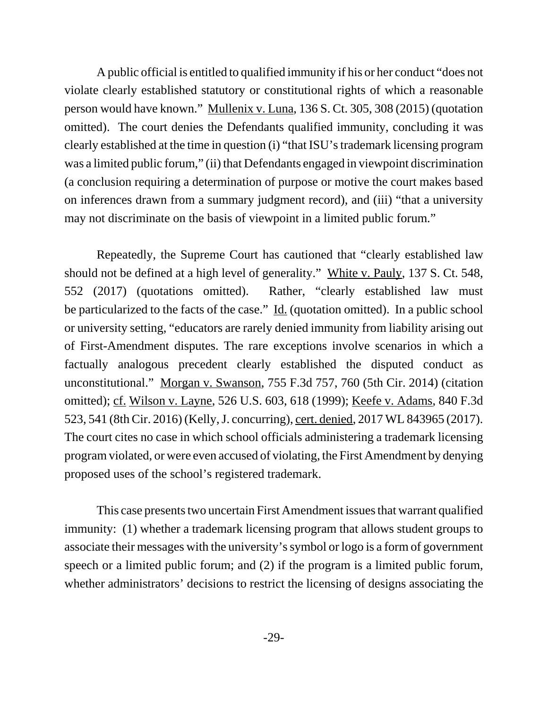A public official is entitled to qualified immunity if his or her conduct "does not violate clearly established statutory or constitutional rights of which a reasonable person would have known." Mullenix v. Luna, 136 S. Ct. 305, 308 (2015) (quotation omitted). The court denies the Defendants qualified immunity, concluding it was clearly established at the time in question (i) "that ISU's trademark licensing program was a limited public forum," (ii) that Defendants engaged in viewpoint discrimination (a conclusion requiring a determination of purpose or motive the court makes based on inferences drawn from a summary judgment record), and (iii) "that a university may not discriminate on the basis of viewpoint in a limited public forum."

Repeatedly, the Supreme Court has cautioned that "clearly established law should not be defined at a high level of generality." White v. Pauly, 137 S. Ct. 548, 552 (2017) (quotations omitted). Rather, "clearly established law must be particularized to the facts of the case." Id. (quotation omitted). In a public school or university setting, "educators are rarely denied immunity from liability arising out of First-Amendment disputes. The rare exceptions involve scenarios in which a factually analogous precedent clearly established the disputed conduct as unconstitutional." Morgan v. Swanson, 755 F.3d 757, 760 (5th Cir. 2014) (citation omitted); cf. Wilson v. Layne, 526 U.S. 603, 618 (1999); Keefe v. Adams, 840 F.3d 523, 541 (8th Cir. 2016) (Kelly, J. concurring), cert. denied, 2017 WL 843965 (2017). The court cites no case in which school officials administering a trademark licensing program violated, or were even accused of violating, the First Amendment by denying proposed uses of the school's registered trademark.

This case presents two uncertain First Amendment issues that warrant qualified immunity: (1) whether a trademark licensing program that allows student groups to associate their messages with the university's symbol or logo is a form of government speech or a limited public forum; and (2) if the program is a limited public forum, whether administrators' decisions to restrict the licensing of designs associating the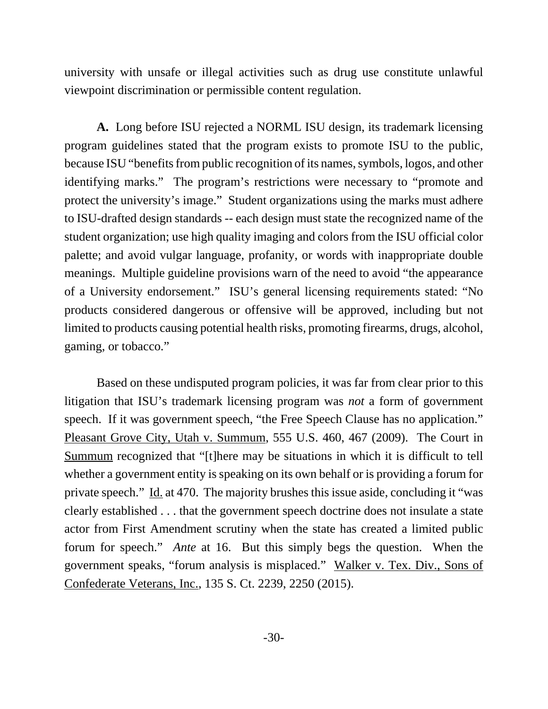university with unsafe or illegal activities such as drug use constitute unlawful viewpoint discrimination or permissible content regulation.

**A.** Long before ISU rejected a NORML ISU design, its trademark licensing program guidelines stated that the program exists to promote ISU to the public, because ISU "benefits from public recognition of its names, symbols, logos, and other identifying marks." The program's restrictions were necessary to "promote and protect the university's image." Student organizations using the marks must adhere to ISU-drafted design standards -- each design must state the recognized name of the student organization; use high quality imaging and colors from the ISU official color palette; and avoid vulgar language, profanity, or words with inappropriate double meanings. Multiple guideline provisions warn of the need to avoid "the appearance of a University endorsement." ISU's general licensing requirements stated: "No products considered dangerous or offensive will be approved, including but not limited to products causing potential health risks, promoting firearms, drugs, alcohol, gaming, or tobacco."

Based on these undisputed program policies, it was far from clear prior to this litigation that ISU's trademark licensing program was *not* a form of government speech. If it was government speech, "the Free Speech Clause has no application." Pleasant Grove City, Utah v. Summum, 555 U.S. 460, 467 (2009). The Court in Summum recognized that "[t]here may be situations in which it is difficult to tell whether a government entity is speaking on its own behalf or is providing a forum for private speech." Id. at 470. The majority brushes this issue aside, concluding it "was clearly established . . . that the government speech doctrine does not insulate a state actor from First Amendment scrutiny when the state has created a limited public forum for speech." *Ante* at 16. But this simply begs the question. When the government speaks, "forum analysis is misplaced." Walker v. Tex. Div., Sons of Confederate Veterans, Inc., 135 S. Ct. 2239, 2250 (2015).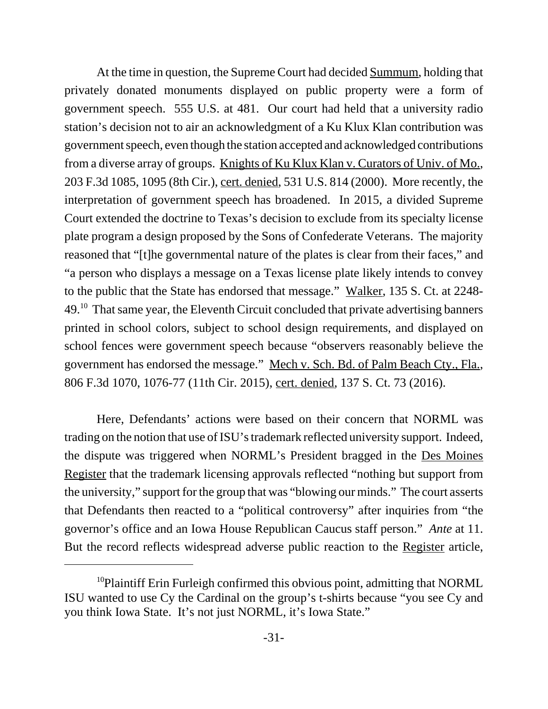At the time in question, the Supreme Court had decided Summum, holding that privately donated monuments displayed on public property were a form of government speech. 555 U.S. at 481. Our court had held that a university radio station's decision not to air an acknowledgment of a Ku Klux Klan contribution was government speech, even though the station accepted and acknowledged contributions from a diverse array of groups. Knights of Ku Klux Klan v. Curators of Univ. of Mo., 203 F.3d 1085, 1095 (8th Cir.), cert. denied, 531 U.S. 814 (2000). More recently, the interpretation of government speech has broadened. In 2015, a divided Supreme Court extended the doctrine to Texas's decision to exclude from its specialty license plate program a design proposed by the Sons of Confederate Veterans. The majority reasoned that "[t]he governmental nature of the plates is clear from their faces," and "a person who displays a message on a Texas license plate likely intends to convey to the public that the State has endorsed that message." Walker, 135 S. Ct. at 2248- 49.10 That same year, the Eleventh Circuit concluded that private advertising banners printed in school colors, subject to school design requirements, and displayed on school fences were government speech because "observers reasonably believe the government has endorsed the message." Mech v. Sch. Bd. of Palm Beach Cty., Fla., 806 F.3d 1070, 1076-77 (11th Cir. 2015), cert. denied, 137 S. Ct. 73 (2016).

Here, Defendants' actions were based on their concern that NORML was trading on the notion that use of ISU's trademark reflected university support. Indeed, the dispute was triggered when NORML's President bragged in the Des Moines Register that the trademark licensing approvals reflected "nothing but support from the university," support for the group that was "blowing our minds." The court asserts that Defendants then reacted to a "political controversy" after inquiries from "the governor's office and an Iowa House Republican Caucus staff person." *Ante* at 11. But the record reflects widespread adverse public reaction to the Register article,

 $10P$ laintiff Erin Furleigh confirmed this obvious point, admitting that NORML ISU wanted to use Cy the Cardinal on the group's t-shirts because "you see Cy and you think Iowa State. It's not just NORML, it's Iowa State."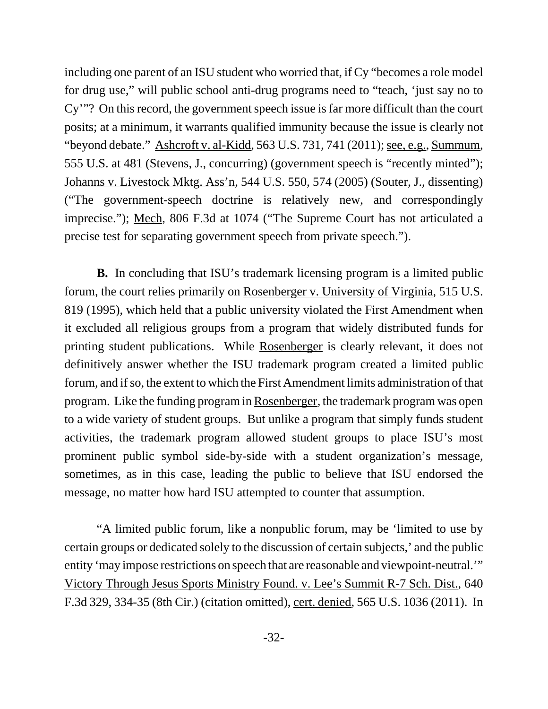including one parent of an ISU student who worried that, if Cy "becomes a role model for drug use," will public school anti-drug programs need to "teach, 'just say no to Cy'"? On this record, the government speech issue is far more difficult than the court posits; at a minimum, it warrants qualified immunity because the issue is clearly not "beyond debate." Ashcroft v. al-Kidd, 563 U.S. 731, 741 (2011); see, e.g., Summum, 555 U.S. at 481 (Stevens, J., concurring) (government speech is "recently minted"); Johanns v. Livestock Mktg. Ass'n, 544 U.S. 550, 574 (2005) (Souter, J., dissenting) ("The government-speech doctrine is relatively new, and correspondingly imprecise."); Mech, 806 F.3d at 1074 ("The Supreme Court has not articulated a precise test for separating government speech from private speech.").

**B.** In concluding that ISU's trademark licensing program is a limited public forum, the court relies primarily on Rosenberger v. University of Virginia, 515 U.S. 819 (1995), which held that a public university violated the First Amendment when it excluded all religious groups from a program that widely distributed funds for printing student publications. While Rosenberger is clearly relevant, it does not definitively answer whether the ISU trademark program created a limited public forum, and if so, the extent to which the First Amendment limits administration of that program. Like the funding program in Rosenberger, the trademark program was open to a wide variety of student groups. But unlike a program that simply funds student activities, the trademark program allowed student groups to place ISU's most prominent public symbol side-by-side with a student organization's message, sometimes, as in this case, leading the public to believe that ISU endorsed the message, no matter how hard ISU attempted to counter that assumption.

"A limited public forum, like a nonpublic forum, may be 'limited to use by certain groups or dedicated solely to the discussion of certain subjects,' and the public entity 'may impose restrictions on speech that are reasonable and viewpoint-neutral.'" Victory Through Jesus Sports Ministry Found. v. Lee's Summit R-7 Sch. Dist., 640 F.3d 329, 334-35 (8th Cir.) (citation omitted), cert. denied, 565 U.S. 1036 (2011). In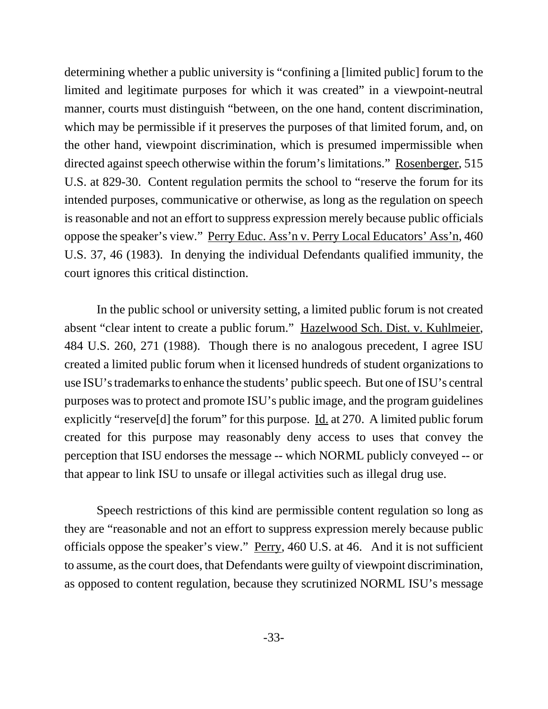determining whether a public university is "confining a [limited public] forum to the limited and legitimate purposes for which it was created" in a viewpoint-neutral manner, courts must distinguish "between, on the one hand, content discrimination, which may be permissible if it preserves the purposes of that limited forum, and, on the other hand, viewpoint discrimination, which is presumed impermissible when directed against speech otherwise within the forum's limitations." Rosenberger, 515 U.S. at 829-30. Content regulation permits the school to "reserve the forum for its intended purposes, communicative or otherwise, as long as the regulation on speech is reasonable and not an effort to suppress expression merely because public officials oppose the speaker's view." Perry Educ. Ass'n v. Perry Local Educators' Ass'n, 460 U.S. 37, 46 (1983). In denying the individual Defendants qualified immunity, the court ignores this critical distinction.

In the public school or university setting, a limited public forum is not created absent "clear intent to create a public forum." Hazelwood Sch. Dist. v. Kuhlmeier, 484 U.S. 260, 271 (1988). Though there is no analogous precedent, I agree ISU created a limited public forum when it licensed hundreds of student organizations to use ISU's trademarks to enhance the students' public speech. But one of ISU's central purposes was to protect and promote ISU's public image, and the program guidelines explicitly "reserve<sup>[d]</sup> the forum" for this purpose. <u>Id.</u> at 270. A limited public forum created for this purpose may reasonably deny access to uses that convey the perception that ISU endorses the message -- which NORML publicly conveyed -- or that appear to link ISU to unsafe or illegal activities such as illegal drug use.

Speech restrictions of this kind are permissible content regulation so long as they are "reasonable and not an effort to suppress expression merely because public officials oppose the speaker's view." Perry, 460 U.S. at 46. And it is not sufficient to assume, as the court does, that Defendants were guilty of viewpoint discrimination, as opposed to content regulation, because they scrutinized NORML ISU's message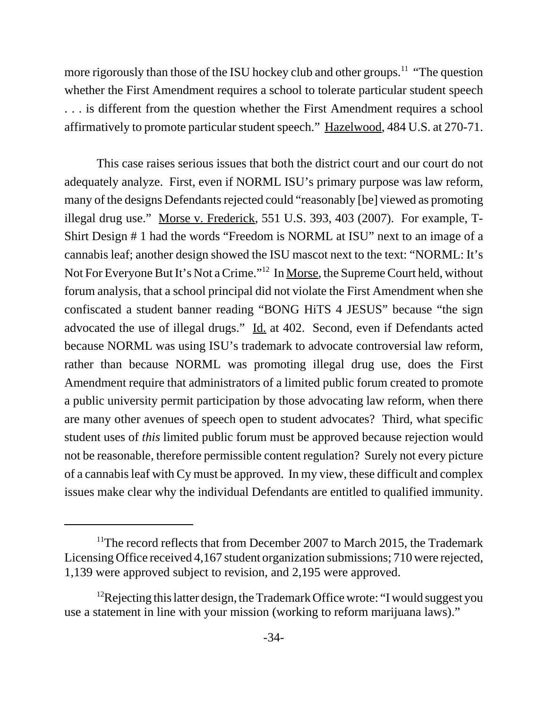more rigorously than those of the ISU hockey club and other groups.<sup>11</sup> "The question" whether the First Amendment requires a school to tolerate particular student speech . . . is different from the question whether the First Amendment requires a school affirmatively to promote particular student speech." Hazelwood, 484 U.S. at 270-71.

This case raises serious issues that both the district court and our court do not adequately analyze. First, even if NORML ISU's primary purpose was law reform, many of the designs Defendants rejected could "reasonably [be] viewed as promoting illegal drug use." Morse v. Frederick, 551 U.S. 393, 403 (2007). For example, T-Shirt Design # 1 had the words "Freedom is NORML at ISU" next to an image of a cannabis leaf; another design showed the ISU mascot next to the text: "NORML: It's Not For Everyone But It's Not a Crime."12 In Morse, the Supreme Court held, without forum analysis, that a school principal did not violate the First Amendment when she confiscated a student banner reading "BONG HiTS 4 JESUS" because "the sign advocated the use of illegal drugs." Id. at 402. Second, even if Defendants acted because NORML was using ISU's trademark to advocate controversial law reform, rather than because NORML was promoting illegal drug use, does the First Amendment require that administrators of a limited public forum created to promote a public university permit participation by those advocating law reform, when there are many other avenues of speech open to student advocates? Third, what specific student uses of *this* limited public forum must be approved because rejection would not be reasonable, therefore permissible content regulation? Surely not every picture of a cannabis leaf with Cy must be approved. In my view, these difficult and complex issues make clear why the individual Defendants are entitled to qualified immunity.

<sup>&</sup>lt;sup>11</sup>The record reflects that from December 2007 to March 2015, the Trademark Licensing Office received 4,167 student organization submissions; 710 were rejected, 1,139 were approved subject to revision, and 2,195 were approved.

<sup>&</sup>lt;sup>12</sup>Rejecting this latter design, the Trademark Office wrote: "I would suggest you use a statement in line with your mission (working to reform marijuana laws)."